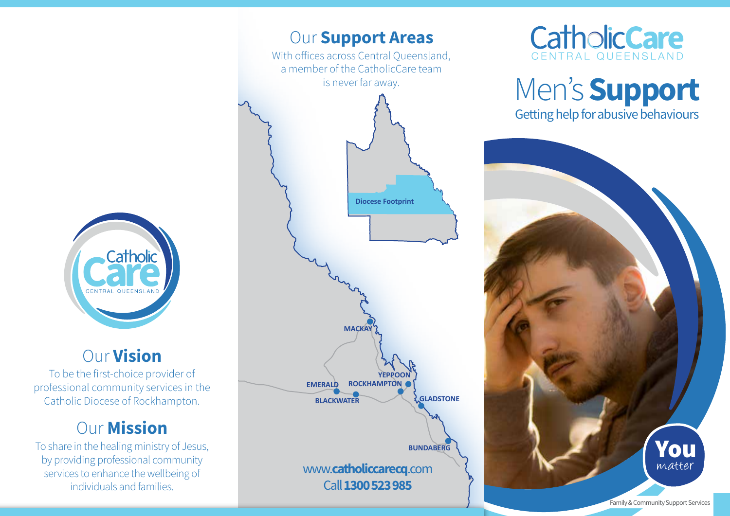

# Our Vision

To be the first-choice provider of professional community services in the Catholic Diocese of Rockhampton.

# **Our Mission**

To share in the healing ministry of Jesus, by providing professional community services to enhance the wellbeing of individuals and families.





# Men's Support Getting help for abusive behaviours